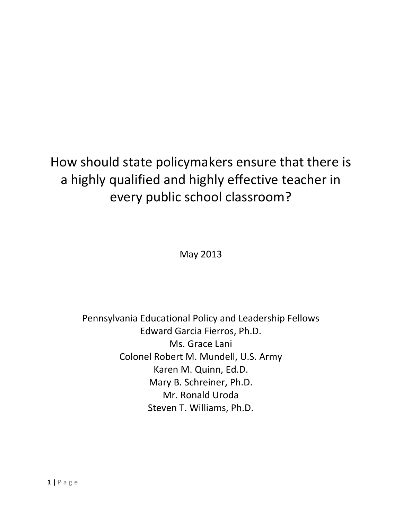# How should state policymakers ensure that there is a highly qualified and highly effective teacher in every public school classroom?

May 2013

Pennsylvania Educational Policy and Leadership Fellows Edward Garcia Fierros, Ph.D. Ms. Grace Lani Colonel Robert M. Mundell, U.S. Army Karen M. Quinn, Ed.D. Mary B. Schreiner, Ph.D. Mr. Ronald Uroda Steven T. Williams, Ph.D.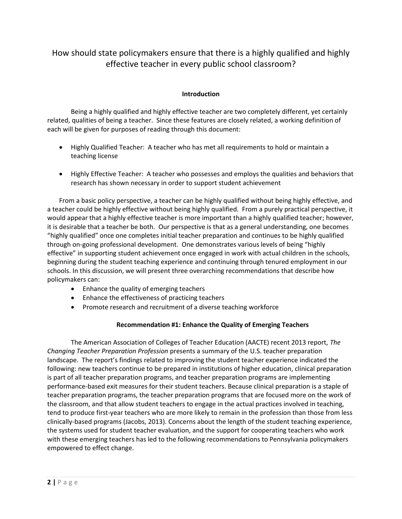# How should state policymakers ensure that there is a highly qualified and highly effective teacher in every public school classroom?

# **Introduction**

Being a highly qualified and highly effective teacher are two completely different, yet certainly related, qualities of being a teacher. Since these features are closely related, a working definition of each will be given for purposes of reading through this document:

- Highly Qualified Teacher: A teacher who has met all requirements to hold or maintain a teaching license
- Highly Effective Teacher: A teacher who possesses and employs the qualities and behaviors that research has shown necessary in order to support student achievement

From a basic policy perspective, a teacher can be highly qualified without being highly effective, and a teacher could be highly effective without being highly qualified. From a purely practical perspective, it would appear that a highly effective teacher is more important than a highly qualified teacher; however, it is desirable that a teacher be both. Our perspective is that as a general understanding, one becomes "highly qualified" once one completes initial teacher preparation and continues to be highly qualified through on-going professional development. One demonstrates various levels of being "highly effective" in supporting student achievement once engaged in work with actual children in the schools, beginning during the student teaching experience and continuing through tenured employment in our schools. In this discussion, we will present three overarching recommendations that describe how policymakers can:

- Enhance the quality of emerging teachers
- Enhance the effectiveness of practicing teachers
- Promote research and recruitment of a diverse teaching workforce

## **Recommendation #1: Enhance the Quality of Emerging Teachers**

The American Association of Colleges of Teacher Education (AACTE) recent 2013 report, *The Changing Teacher Preparation Profession* presents a summary of the U.S. teacher preparation landscape. The report's findings related to improving the student teacher experience indicated the following: new teachers continue to be prepared in institutions of higher education, clinical preparation is part of all teacher preparation programs, and teacher preparation programs are implementing performance-based exit measures for their student teachers. Because clinical preparation is a staple of teacher preparation programs, the teacher preparation programs that are focused more on the work of the classroom, and that allow student teachers to engage in the actual practices involved in teaching, tend to produce first-year teachers who are more likely to remain in the profession than those from less clinically-based programs (Jacobs, 2013). Concerns about the length of the student teaching experience, the systems used for student teacher evaluation, and the support for cooperating teachers who work with these emerging teachers has led to the following recommendations to Pennsylvania policymakers empowered to effect change.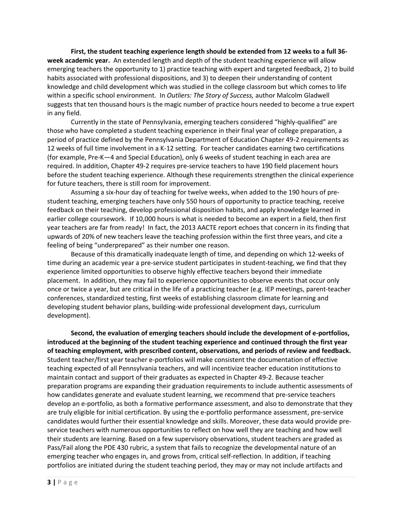**First, the student teaching experience length should be extended from 12 weeks to a full 36 week academic year.** An extended length and depth of the student teaching experience will allow emerging teachers the opportunity to 1) practice teaching with expert and targeted feedback, 2) to build habits associated with professional dispositions, and 3) to deepen their understanding of content knowledge and child development which was studied in the college classroom but which comes to life within a specific school environment.In *Outliers: The Story of Success,* author Malcolm Gladwell suggests that ten thousand hours is the magic number of practice hours needed to become a true expert in any field.

Currently in the state of Pennsylvania, emerging teachers considered "highly-qualified" are those who have completed a student teaching experience in their final year of college preparation, a period of practice defined by the Pennsylvania Department of Education Chapter 49-2 requirements as 12 weeks of full time involvement in a K-12 setting. For teacher candidates earning two certifications (for example, Pre-K—4 and Special Education), only 6 weeks of student teaching in each area are required. In addition, Chapter 49-2 requires pre-service teachers to have 190 field placement hours before the student teaching experience. Although these requirements strengthen the clinical experience for future teachers, there is still room for improvement.

Assuming a six-hour day of teaching for twelve weeks, when added to the 190 hours of prestudent teaching, emerging teachers have only 550 hours of opportunity to practice teaching, receive feedback on their teaching, develop professional disposition habits, and apply knowledge learned in earlier college coursework. If 10,000 hours is what is needed to become an expert in a field, then first year teachers are far from ready! In fact, the 2013 AACTE report echoes that concern in its finding that upwards of 20% of new teachers leave the teaching profession within the first three years, and cite a feeling of being "underprepared" as their number one reason.

Because of this dramatically inadequate length of time, and depending on which 12-weeks of time during an academic year a pre-service student participates in student-teaching, we find that they experience limited opportunities to observe highly effective teachers beyond their immediate placement. In addition, they may fail to experience opportunities to observe events that occur only once or twice a year, but are critical in the life of a practicing teacher (e.g. IEP meetings, parent-teacher conferences, standardized testing, first weeks of establishing classroom climate for learning and developing student behavior plans, building-wide professional development days, curriculum development).

**Second, the evaluation of emerging teachers should include the development of e-portfolios, introduced at the beginning of the student teaching experience and continued through the first year of teaching employment, with prescribed content, observations, and periods of review and feedback.** Student teacher/first year teacher e-portfolios will make consistent the documentation of effective teaching expected of all Pennsylvania teachers, and will incentivize teacher education institutions to maintain contact and support of their graduates as expected in Chapter 49-2. Because teacher preparation programs are expanding their graduation requirements to include authentic assessments of how candidates generate and evaluate student learning, we recommend that pre-service teachers develop an e-portfolio, as both a formative performance assessment, and also to demonstrate that they are truly eligible for initial certification. By using the e-portfolio performance assessment, pre-service candidates would further their essential knowledge and skills. Moreover, these data would provide preservice teachers with numerous opportunities to reflect on how well they are teaching and how well their students are learning. Based on a few supervisory observations, student teachers are graded as Pass/Fail along the PDE 430 rubric, a system that fails to recognize the developmental nature of an emerging teacher who engages in, and grows from, critical self-reflection. In addition, if teaching portfolios are initiated during the student teaching period, they may or may not include artifacts and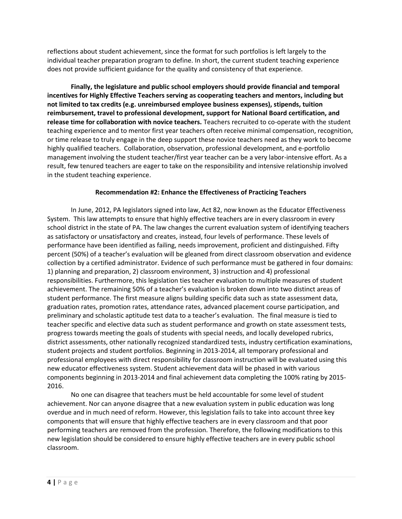reflections about student achievement, since the format for such portfolios is left largely to the individual teacher preparation program to define. In short, the current student teaching experience does not provide sufficient guidance for the quality and consistency of that experience.

**Finally, the legislature and public school employers should provide financial and temporal incentives for Highly Effective Teachers serving as cooperating teachers and mentors, including but not limited to tax credits (e.g. unreimbursed employee business expenses), stipends, tuition reimbursement, travel to professional development, support for National Board certification, and release time for collaboration with novice teachers.** Teachers recruited to co-operate with the student teaching experience and to mentor first year teachers often receive minimal compensation, recognition, or time release to truly engage in the deep support these novice teachers need as they work to become highly qualified teachers. Collaboration, observation, professional development, and e-portfolio management involving the student teacher/first year teacher can be a very labor-intensive effort. As a result, few tenured teachers are eager to take on the responsibility and intensive relationship involved in the student teaching experience.

### **Recommendation #2: Enhance the Effectiveness of Practicing Teachers**

In June, 2012, PA legislators signed into law, Act 82, now known as the Educator Effectiveness System. This law attempts to ensure that highly effective teachers are in every classroom in every school district in the state of PA. The law changes the current evaluation system of identifying teachers as satisfactory or unsatisfactory and creates, instead, four levels of performance. These levels of performance have been identified as failing, needs improvement, proficient and distinguished. Fifty percent (50%) of a teacher's evaluation will be gleaned from direct classroom observation and evidence collection by a certified administrator. Evidence of such performance must be gathered in four domains: 1) planning and preparation, 2) classroom environment, 3) instruction and 4) professional responsibilities. Furthermore, this legislation ties teacher evaluation to multiple measures of student achievement. The remaining 50% of a teacher's evaluation is broken down into two distinct areas of student performance. The first measure aligns building specific data such as state assessment data, graduation rates, promotion rates, attendance rates, advanced placement course participation, and preliminary and scholastic aptitude test data to a teacher's evaluation. The final measure is tied to teacher specific and elective data such as student performance and growth on state assessment tests, progress towards meeting the goals of students with special needs, and locally developed rubrics, district assessments, other nationally recognized standardized tests, industry certification examinations, student projects and student portfolios. Beginning in 2013-2014, all temporary professional and professional employees with direct responsibility for classroom instruction will be evaluated using this new educator effectiveness system. Student achievement data will be phased in with various components beginning in 2013-2014 and final achievement data completing the 100% rating by 2015- 2016.

No one can disagree that teachers must be held accountable for some level of student achievement. Nor can anyone disagree that a new evaluation system in public education was long overdue and in much need of reform. However, this legislation fails to take into account three key components that will ensure that highly effective teachers are in every classroom and that poor performing teachers are removed from the profession. Therefore, the following modifications to this new legislation should be considered to ensure highly effective teachers are in every public school classroom.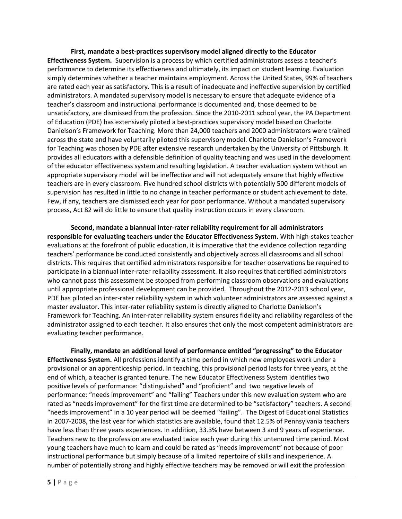**First, mandate a best-practices supervisory model aligned directly to the Educator Effectiveness System.** Supervision is a process by which certified administrators assess a teacher's performance to determine its effectiveness and ultimately, its impact on student learning. Evaluation simply determines whether a teacher maintains employment. Across the United States, 99% of teachers are rated each year as satisfactory. This is a result of inadequate and ineffective supervision by certified administrators. A mandated supervisory model is necessary to ensure that adequate evidence of a teacher's classroom and instructional performance is documented and, those deemed to be unsatisfactory, are dismissed from the profession. Since the 2010-2011 school year, the PA Department of Education (PDE) has extensively piloted a best-practices supervisory model based on Charlotte Danielson's Framework for Teaching. More than 24,000 teachers and 2000 administrators were trained across the state and have voluntarily piloted this supervisory model. Charlotte Danielson's Framework for Teaching was chosen by PDE after extensive research undertaken by the University of Pittsburgh. It provides all educators with a defensible definition of quality teaching and was used in the development of the educator effectiveness system and resulting legislation. A teacher evaluation system without an appropriate supervisory model will be ineffective and will not adequately ensure that highly effective teachers are in every classroom. Five hundred school districts with potentially 500 different models of supervision has resulted in little to no change in teacher performance or student achievement to date. Few, if any, teachers are dismissed each year for poor performance. Without a mandated supervisory process, Act 82 will do little to ensure that quality instruction occurs in every classroom.

**Second, mandate a biannual inter-rater reliability requirement for all administrators responsible for evaluating teachers under the Educator Effectiveness System.** With high-stakes teacher evaluations at the forefront of public education, it is imperative that the evidence collection regarding teachers' performance be conducted consistently and objectively across all classrooms and all school districts. This requires that certified administrators responsible for teacher observations be required to participate in a biannual inter-rater reliability assessment. It also requires that certified administrators who cannot pass this assessment be stopped from performing classroom observations and evaluations until appropriate professional development can be provided. Throughout the 2012-2013 school year, PDE has piloted an inter-rater reliability system in which volunteer administrators are assessed against a master evaluator. This inter-rater reliability system is directly aligned to Charlotte Danielson's Framework for Teaching. An inter-rater reliability system ensures fidelity and reliability regardless of the administrator assigned to each teacher. It also ensures that only the most competent administrators are evaluating teacher performance.

**Finally, mandate an additional level of performance entitled "progressing" to the Educator Effectiveness System.** All professions identify a time period in which new employees work under a provisional or an apprenticeship period. In teaching, this provisional period lasts for three years, at the end of which, a teacher is granted tenure. The new Educator Effectiveness System identifies two positive levels of performance: "distinguished" and "proficient" and two negative levels of performance: "needs improvement" and "failing" Teachers under this new evaluation system who are rated as "needs improvement" for the first time are determined to be "satisfactory" teachers. A second "needs improvement" in a 10 year period will be deemed "failing". The Digest of Educational Statistics in 2007-2008, the last year for which statistics are available, found that 12.5% of Pennsylvania teachers have less than three years experiences. In addition, 33.3% have between 3 and 9 years of experience. Teachers new to the profession are evaluated twice each year during this untenured time period. Most young teachers have much to learn and could be rated as "needs improvement" not because of poor instructional performance but simply because of a limited repertoire of skills and inexperience. A number of potentially strong and highly effective teachers may be removed or will exit the profession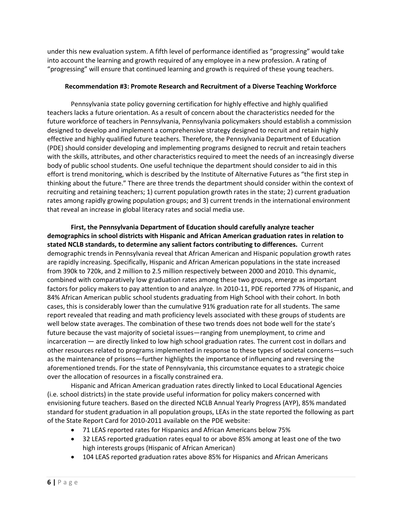under this new evaluation system. A fifth level of performance identified as "progressing" would take into account the learning and growth required of any employee in a new profession. A rating of "progressing" will ensure that continued learning and growth is required of these young teachers.

#### **Recommendation #3: Promote Research and Recruitment of a Diverse Teaching Workforce**

Pennsylvania state policy governing certification for highly effective and highly qualified teachers lacks a future orientation. As a result of concern about the characteristics needed for the future workforce of teachers in Pennsylvania, Pennsylvania policymakers should establish a commission designed to develop and implement a comprehensive strategy designed to recruit and retain highly effective and highly qualified future teachers. Therefore, the Pennsylvania Department of Education (PDE) should consider developing and implementing programs designed to recruit and retain teachers with the skills, attributes, and other characteristics required to meet the needs of an increasingly diverse body of public school students. One useful technique the department should consider to aid in this effort is trend monitoring, which is described by the Institute of Alternative Futures as "the first step in thinking about the future." There are three trends the department should consider within the context of recruiting and retaining teachers; 1) current population growth rates in the state; 2) current graduation rates among rapidly growing population groups; and 3) current trends in the international environment that reveal an increase in global literacy rates and social media use.

**First, the Pennsylvania Department of Education should carefully analyze teacher demographics in school districts with Hispanic and African American graduation rates in relation to stated NCLB standards, to determine any salient factors contributing to differences.** Current demographic trends in Pennsylvania reveal that African American and Hispanic population growth rates are rapidly increasing. Specifically, Hispanic and African American populations in the state increased from 390k to 720k, and 2 million to 2.5 million respectively between 2000 and 2010. This dynamic, combined with comparatively low graduation rates among these two groups, emerge as important factors for policy makers to pay attention to and analyze. In 2010-11, PDE reported 77% of Hispanic, and 84% African American public school students graduating from High School with their cohort. In both cases, this is considerably lower than the cumulative 91% graduation rate for all students. The same report revealed that reading and math proficiency levels associated with these groups of students are well below state averages. The combination of these two trends does not bode well for the state's future because the vast majority of societal issues—ranging from unemployment, to crime and incarceration — are directly linked to low high school graduation rates. The current cost in dollars and other resources related to programs implemented in response to these types of societal concerns—such as the maintenance of prisons—further highlights the importance of influencing and reversing the aforementioned trends. For the state of Pennsylvania, this circumstance equates to a strategic choice over the allocation of resources in a fiscally constrained era.

Hispanic and African American graduation rates directly linked to Local Educational Agencies (i.e. school districts) in the state provide useful information for policy makers concerned with envisioning future teachers. Based on the directed NCLB Annual Yearly Progress (AYP), 85% mandated standard for student graduation in all population groups, LEAs in the state reported the following as part of the State Report Card for 2010-2011 available on the PDE website:

- 71 LEAS reported rates for Hispanics and African Americans below 75%
- 32 LEAS reported graduation rates equal to or above 85% among at least one of the two high interests groups (Hispanic of African American)
- 104 LEAS reported graduation rates above 85% for Hispanics and African Americans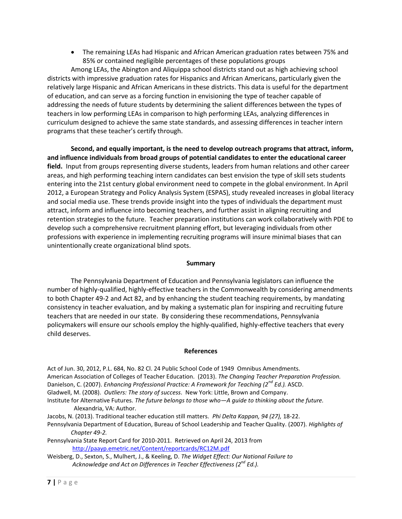The remaining LEAs had Hispanic and African American graduation rates between 75% and 85% or contained negligible percentages of these populations groups

Among LEAs, the Abington and Aliquippa school districts stand out as high achieving school districts with impressive graduation rates for Hispanics and African Americans, particularly given the relatively large Hispanic and African Americans in these districts. This data is useful for the department of education, and can serve as a forcing function in envisioning the type of teacher capable of addressing the needs of future students by determining the salient differences between the types of teachers in low performing LEAs in comparison to high performing LEAs, analyzing differences in curriculum designed to achieve the same state standards, and assessing differences in teacher intern programs that these teacher's certify through.

**Second, and equally important, is the need to develop outreach programs that attract, inform, and influence individuals from broad groups of potential candidates to enter the educational career field.** Input from groups representing diverse students, leaders from human relations and other career areas, and high performing teaching intern candidates can best envision the type of skill sets students entering into the 21st century global environment need to compete in the global environment. In April 2012, a European Strategy and Policy Analysis System (ESPAS), study revealed increases in global literacy and social media use. These trends provide insight into the types of individuals the department must attract, inform and influence into becoming teachers, and further assist in aligning recruiting and retention strategies to the future. Teacher preparation institutions can work collaboratively with PDE to develop such a comprehensive recruitment planning effort, but leveraging individuals from other professions with experience in implementing recruiting programs will insure minimal biases that can unintentionally create organizational blind spots.

#### **Summary**

The Pennsylvania Department of Education and Pennsylvania legislators can influence the number of highly-qualified, highly-effective teachers in the Commonwealth by considering amendments to both Chapter 49-2 and Act 82, and by enhancing the student teaching requirements, by mandating consistency in teacher evaluation, and by making a systematic plan for inspiring and recruiting future teachers that are needed in our state. By considering these recommendations, Pennsylvania policymakers will ensure our schools employ the highly-qualified, highly-effective teachers that every child deserves.

#### **References**

Act of Jun. 30, 2012, P.L. 684, No. 82 Cl. 24 Public School Code of 1949 Omnibus Amendments. American Association of Colleges of Teacher Education. (2013). *The Changing Teacher Preparation Profession.* Danielson, C. (2007). *Enhancing Professional Practice: A Framework for Teaching (2nd Ed.).* ASCD. Gladwell, M. (2008). *Outliers: The story of success*. New York: Little, Brown and Company. Institute for Alternative Futures. *The future belongs to those who—A guide to thinking about the future.*

- Alexandria, VA: Author.
- Jacobs, N. (2013). Traditional teacher education still matters. *Phi Delta Kappan, 94 (27),* 18-22.
- Pennsylvania Department of Education, Bureau of School Leadership and Teacher Quality. (2007). *Highlights of Chapter 49-2.*

Pennsylvania State Report Card for 2010-2011. Retrieved on April 24, 2013 from <http://paayp.emetric.net/Content/reportcards/RC12M.pdf>

Weisberg, D., Sexton, S., Mulhert, J., & Keeling, D. *The Widget Effect: Our National Failure to Acknowledge and Act on Differences in Teacher Effectiveness (2nd Ed.).*